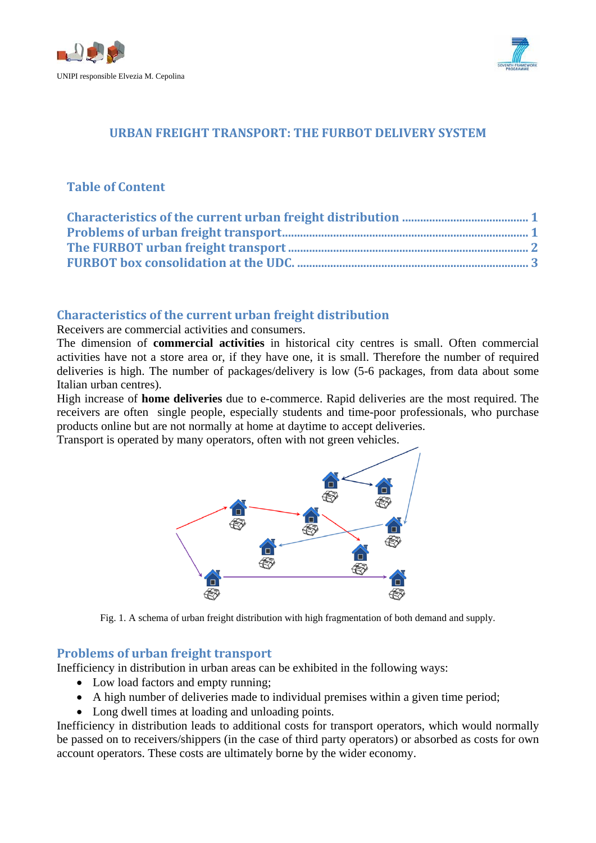



## **URBAN FREIGHT TRANSPORT: THE FURBOT DELIVERY SYSTEM**

# **Table of Content**

## <span id="page-0-0"></span>**Characteristics of the current urban freight distribution**

### Receivers are commercial activities and consumers.

The dimension of **commercial activities** in historical city centres is small. Often commercial activities have not a store area or, if they have one, it is small. Therefore the number of required deliveries is high. The number of packages/delivery is low (5-6 packages, from data about some Italian urban centres).

High increase of **home deliveries** due to e-commerce. Rapid deliveries are the most required. The receivers are often single people, especially students and time-poor professionals, who purchase products online but are not normally at home at daytime to accept deliveries.

Transport is operated by many operators, often with not green vehicles.



Fig. 1. A schema of urban freight distribution with high fragmentation of both demand and supply.

### <span id="page-0-1"></span>**Problems of urban freight transport**

Inefficiency in distribution in urban areas can be exhibited in the following ways:

- Low load factors and empty running;
- A high number of deliveries made to individual premises within a given time period;
- Long dwell times at loading and unloading points.

Inefficiency in distribution leads to additional costs for transport operators, which would normally be passed on to receivers/shippers (in the case of third party operators) or absorbed as costs for own account operators. These costs are ultimately borne by the wider economy.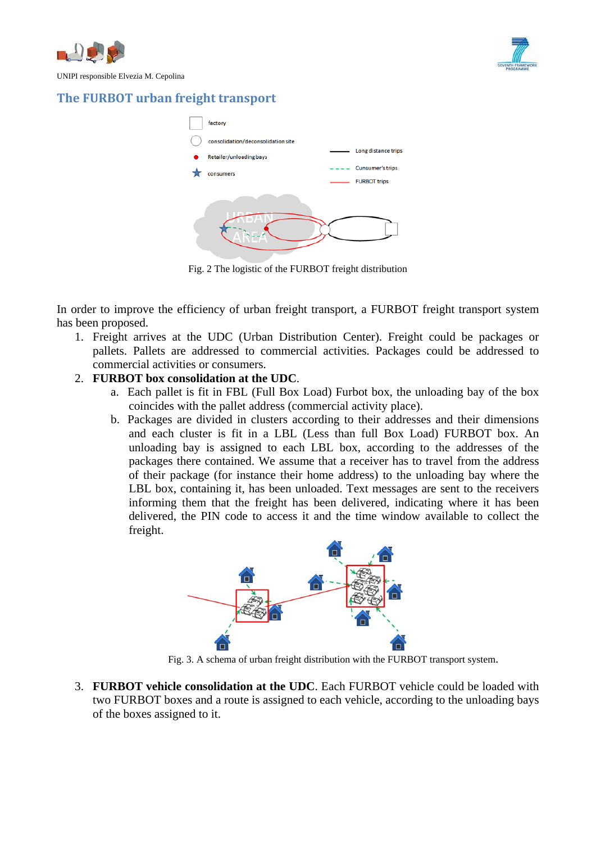



UNIPI responsible Elvezia M. Cepolina

# <span id="page-1-0"></span>**The FURBOT urban freight transport**



Fig. 2 The logistic of the FURBOT freight distribution

In order to improve the efficiency of urban freight transport, a FURBOT freight transport system has been proposed.

1. Freight arrives at the UDC (Urban Distribution Center). Freight could be packages or pallets. Pallets are addressed to commercial activities. Packages could be addressed to commercial activities or consumers.

## 2. **FURBOT box consolidation at the UDC**.

- a. Each pallet is fit in FBL (Full Box Load) Furbot box, the unloading bay of the box coincides with the pallet address (commercial activity place).
- b. Packages are divided in clusters according to their addresses and their dimensions and each cluster is fit in a LBL (Less than full Box Load) FURBOT box. An unloading bay is assigned to each LBL box, according to the addresses of the packages there contained. We assume that a receiver has to travel from the address of their package (for instance their home address) to the unloading bay where the LBL box, containing it, has been unloaded. Text messages are sent to the receivers informing them that the freight has been delivered, indicating where it has been delivered, the PIN code to access it and the time window available to collect the freight.



Fig. 3. A schema of urban freight distribution with the FURBOT transport system.

3. **FURBOT vehicle consolidation at the UDC**. Each FURBOT vehicle could be loaded with two FURBOT boxes and a route is assigned to each vehicle, according to the unloading bays of the boxes assigned to it.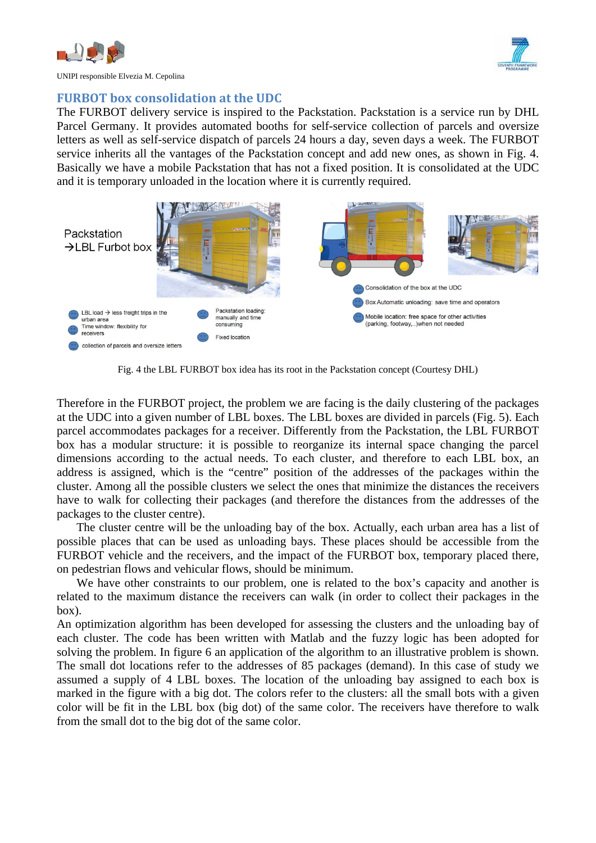

UNIPI responsible Elvezia M. Cepolina

## <span id="page-2-0"></span>**FURBOT box consolidation at the UDC**

The FURBOT delivery service is inspired to the Packstation. Packstation is a service run by DHL Parcel Germany. It provides automated booths for self-service collection of parcels and oversize letters as well as self-service dispatch of parcels 24 hours a day, seven days a week. The FURBOT service inherits all the vantages of the Packstation concept and add new ones, as shown in Fig. 4. Basically we have a mobile Packstation that has not a fixed position. It is consolidated at the UDC and it is temporary unloaded in the location where it is currently required.



Fig. 4 the LBL FURBOT box idea has its root in the Packstation concept (Courtesy DHL)

Therefore in the FURBOT project, the problem we are facing is the daily clustering of the packages at the UDC into a given number of LBL boxes. The LBL boxes are divided in parcels (Fig. 5). Each parcel accommodates packages for a receiver. Differently from the Packstation, the LBL FURBOT box has a modular structure: it is possible to reorganize its internal space changing the parcel dimensions according to the actual needs. To each cluster, and therefore to each LBL box, an address is assigned, which is the "centre" position of the addresses of the packages within the cluster. Among all the possible clusters we select the ones that minimize the distances the receivers have to walk for collecting their packages (and therefore the distances from the addresses of the packages to the cluster centre).

The cluster centre will be the unloading bay of the box. Actually, each urban area has a list of possible places that can be used as unloading bays. These places should be accessible from the FURBOT vehicle and the receivers, and the impact of the FURBOT box, temporary placed there, on pedestrian flows and vehicular flows, should be minimum.

We have other constraints to our problem, one is related to the box's capacity and another is related to the maximum distance the receivers can walk (in order to collect their packages in the box).

An optimization algorithm has been developed for assessing the clusters and the unloading bay of each cluster. The code has been written with Matlab and the fuzzy logic has been adopted for solving the problem. In figure 6 an application of the algorithm to an illustrative problem is shown. The small dot locations refer to the addresses of 85 packages (demand). In this case of study we assumed a supply of 4 LBL boxes. The location of the unloading bay assigned to each box is marked in the figure with a big dot. The colors refer to the clusters: all the small bots with a given color will be fit in the LBL box (big dot) of the same color. The receivers have therefore to walk from the small dot to the big dot of the same color.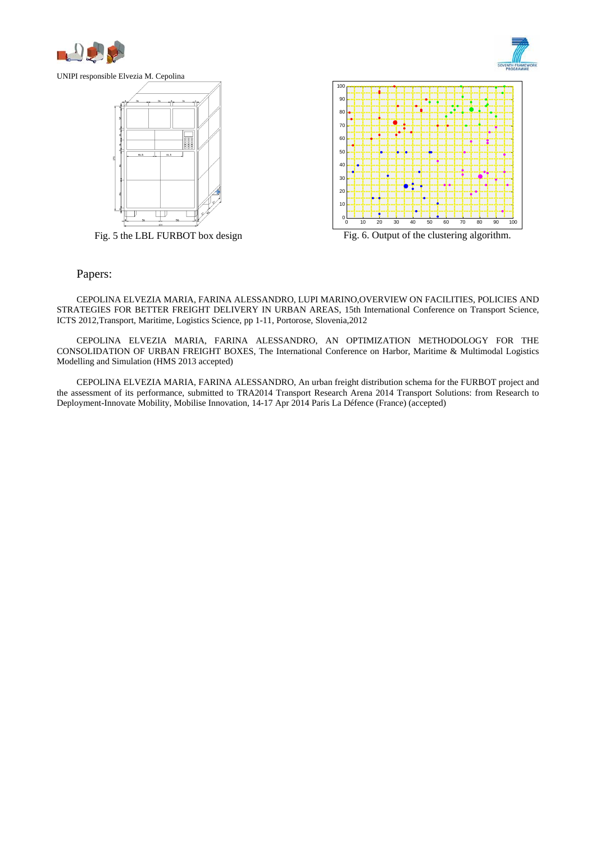



UNIPI responsible Elvezia M. Cepolina



Fig. 5 the LBL FURBOT box design



Fig. 6. Output of the clustering algorithm.

#### Papers:

CEPOLINA ELVEZIA MARIA, FARINA ALESSANDRO, LUPI MARINO,OVERVIEW ON FACILITIES, POLICIES AND STRATEGIES FOR BETTER FREIGHT DELIVERY IN URBAN AREAS, 15th International Conference on Transport Science, ICTS 2012,Transport, Maritime, Logistics Science, pp 1-11, Portorose, Slovenia,2012

CEPOLINA ELVEZIA MARIA, FARINA ALESSANDRO, AN OPTIMIZATION METHODOLOGY FOR THE CONSOLIDATION OF URBAN FREIGHT BOXES, The International Conference on Harbor, Maritime & Multimodal Logistics Modelling and Simulation (HMS 2013 accepted)

CEPOLINA ELVEZIA MARIA, FARINA ALESSANDRO, An urban freight distribution schema for the FURBOT project and the assessment of its performance, submitted to TRA2014 Transport Research Arena 2014 Transport Solutions: from Research to Deployment-Innovate Mobility, Mobilise Innovation, 14-17 Apr 2014 Paris La Défence (France) (accepted)